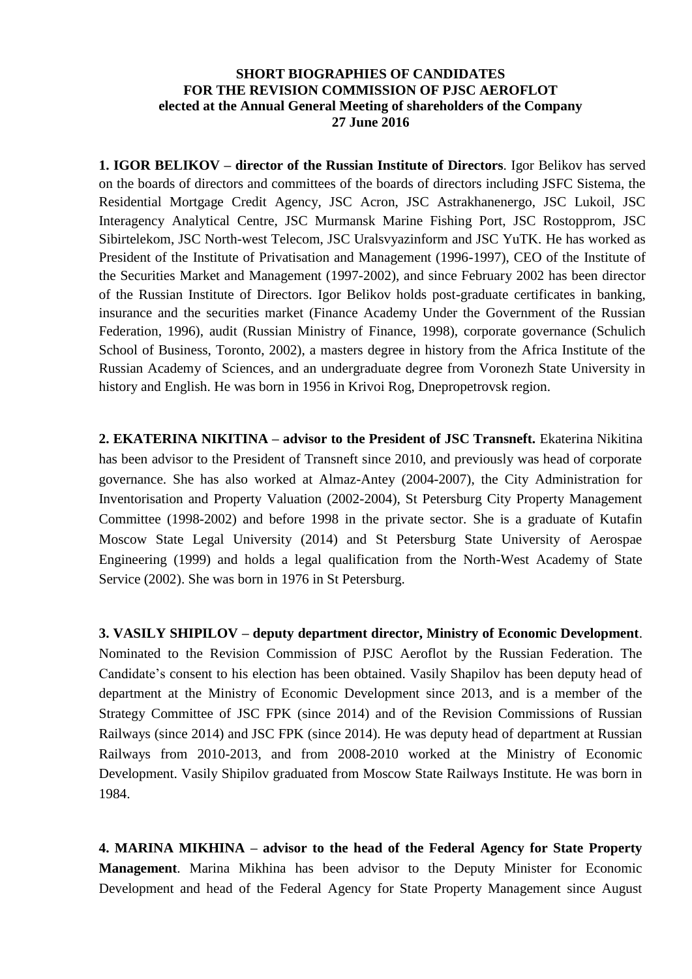## **SHORT BIOGRAPHIES OF CANDIDATES FOR THE REVISION COMMISSION OF PJSC AEROFLOT elected at the Annual General Meeting of shareholders of the Company 27 June 2016**

**1. IGOR BELIKOV – director of the Russian Institute of Directors**. Igor Belikov has served on the boards of directors and committees of the boards of directors including JSFC Sistema, the Residential Mortgage Credit Agency, JSC Acron, JSC Astrakhanenergo, JSC Lukoil, JSC Interagency Analytical Centre, JSC Murmansk Marine Fishing Port, JSC Rostopprom, JSC Sibirtelekom, JSC North-west Telecom, JSC Uralsvyazinform and JSC YuTK. He has worked as President of the Institute of Privatisation and Management (1996-1997), CEO of the Institute of the Securities Market and Management (1997-2002), and since February 2002 has been director of the Russian Institute of Directors. Igor Belikov holds post-graduate certificates in banking, insurance and the securities market (Finance Academy Under the Government of the Russian Federation, 1996), audit (Russian Ministry of Finance, 1998), corporate governance (Schulich School of Business, Toronto, 2002), a masters degree in history from the Africa Institute of the Russian Academy of Sciences, and an undergraduate degree from Voronezh State University in history and English. He was born in 1956 in Krivoi Rog, Dnepropetrovsk region.

**2. EKATERINA NIKITINA – advisor to the President of JSC Transneft.** Ekaterina Nikitina has been advisor to the President of Transneft since 2010, and previously was head of corporate governance. She has also worked at Almaz-Antey (2004-2007), the City Administration for Inventorisation and Property Valuation (2002-2004), St Petersburg City Property Management Committee (1998-2002) and before 1998 in the private sector. She is a graduate of Kutafin Moscow State Legal University (2014) and St Petersburg State University of Aerospae Engineering (1999) and holds a legal qualification from the North-West Academy of State Service (2002). She was born in 1976 in St Petersburg.

**3. VASILY SHIPILOV – deputy department director, Ministry of Economic Development**. Nominated to the Revision Commission of PJSC Aeroflot by the Russian Federation. The Candidate's consent to his election has been obtained. Vasily Shapilov has been deputy head of department at the Ministry of Economic Development since 2013, and is a member of the Strategy Committee of JSC FPK (since 2014) and of the Revision Commissions of Russian Railways (since 2014) and JSC FPK (since 2014). He was deputy head of department at Russian Railways from 2010-2013, and from 2008-2010 worked at the Ministry of Economic Development. Vasily Shipilov graduated from Moscow State Railways Institute. He was born in 1984.

**4. MARINA MIKHINA – advisor to the head of the Federal Agency for State Property Management**. Marina Mikhina has been advisor to the Deputy Minister for Economic Development and head of the Federal Agency for State Property Management since August